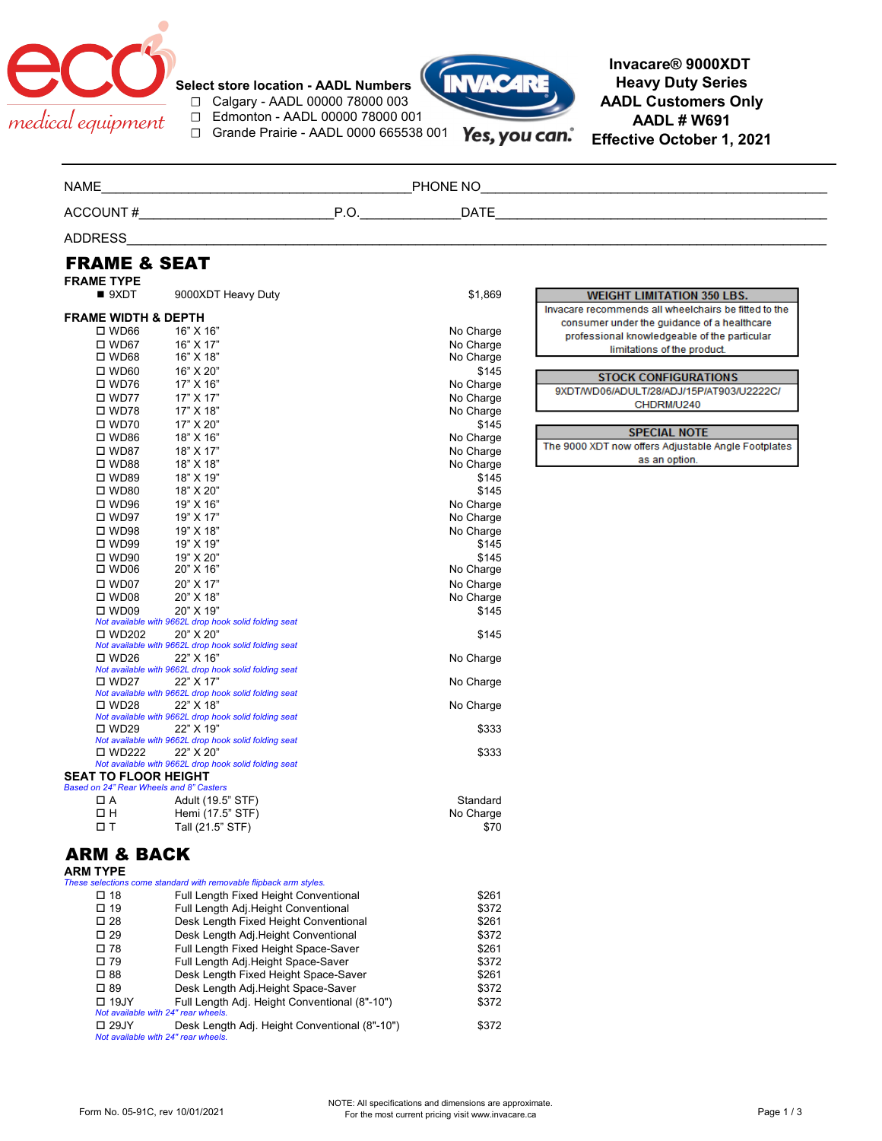

**Select store location - AADL Numbers** ☐ Calgary - AADL 00000 78000 003 ☐ Edmonton - AADL 00000 78000 001 ☐ Grande Prairie - AADL 0000 665538 001



Yes, you can.

**Invacare® 9000XDT Heavy Duty Series AADL Customers Only AADL # W691 Effective October 1, 2021**

| <b>NAME</b>                             |                                                                    |           |                                                      |
|-----------------------------------------|--------------------------------------------------------------------|-----------|------------------------------------------------------|
|                                         |                                                                    |           |                                                      |
| <b>ADDRESS</b>                          |                                                                    |           |                                                      |
| <b>FRAME &amp; SEAT</b>                 |                                                                    |           |                                                      |
| <b>FRAME TYPE</b>                       |                                                                    |           |                                                      |
| 9XDT                                    | 9000XDT Heavy Duty                                                 | \$1,869   | <b>WEIGHT LIMITATION 350 LBS.</b>                    |
| <b>FRAME WIDTH &amp; DEPTH</b>          |                                                                    |           | Invacare recommends all wheelchairs be fitted to the |
| $\square$ WD66                          | 16" X 16"                                                          | No Charge | consumer under the guidance of a healthcare          |
| $\square$ WD67                          | 16" X 17"                                                          | No Charge | professional knowledgeable of the particular         |
| $\square$ WD68                          | 16" X 18"                                                          | No Charge | limitations of the product.                          |
| $\square$ WD60                          | 16" X 20"                                                          | \$145     |                                                      |
| $\square$ WD76                          | 17" X 16"                                                          | No Charge | <b>STOCK CONFIGURATIONS</b>                          |
| $\square$ WD77                          | 17" X 17"                                                          | No Charge | 9XDT/WD06/ADULT/28/ADJ/15P/AT903/U2222C/             |
| $\square$ WD78                          | 17" X 18"                                                          | No Charge | CHDRM/U240                                           |
| $\square$ WD70                          | 17" X 20"                                                          | \$145     |                                                      |
| $\square$ WD86                          | 18" X 16"                                                          | No Charge | <b>SPECIAL NOTE</b>                                  |
| $\square$ WD87                          | 18" X 17"                                                          | No Charge | The 9000 XDT now offers Adjustable Angle Footplates  |
| $\square$ WD88                          | 18" X 18"                                                          | No Charge | as an option.                                        |
| $\square$ WD89                          | 18" X 19"                                                          | \$145     |                                                      |
| $\square$ WD80                          | 18" X 20"                                                          | \$145     |                                                      |
| $\square$ WD96                          | 19" X 16"                                                          | No Charge |                                                      |
| $\square$ WD97                          | 19" X 17"                                                          | No Charge |                                                      |
| $\square$ WD98                          | 19" X 18"                                                          | No Charge |                                                      |
| $\square$ WD99                          | 19" X 19"                                                          | \$145     |                                                      |
| $\square$ WD90                          | 19" X 20"                                                          | \$145     |                                                      |
| $\square$ WD06                          | 20" X 16"                                                          | No Charge |                                                      |
| $\square$ WD07                          | 20" X 17"                                                          | No Charge |                                                      |
| $\square$ WD08                          | 20" X 18"                                                          | No Charge |                                                      |
| $\square$ WD09                          | 20" X 19"                                                          | \$145     |                                                      |
|                                         | Not available with 9662L drop hook solid folding seat              |           |                                                      |
| □ WD202                                 | 20" X 20"                                                          | \$145     |                                                      |
|                                         | Not available with 9662L drop hook solid folding seat              |           |                                                      |
| □ WD26                                  | 22" X 16"                                                          | No Charge |                                                      |
| $\square$ WD27                          | Not available with 9662L drop hook solid folding seat<br>22" X 17" |           |                                                      |
|                                         | Not available with 9662L drop hook solid folding seat              | No Charge |                                                      |
| $\square$ WD28                          | 22" X 18"                                                          | No Charge |                                                      |
|                                         | Not available with 9662L drop hook solid folding seat              |           |                                                      |
| $\square$ WD29                          | 22" X 19"                                                          | \$333     |                                                      |
|                                         | Not available with 9662L drop hook solid folding seat              |           |                                                      |
| □ WD222                                 | 22" X 20"                                                          | \$333     |                                                      |
| <b>SEAT TO FLOOR HEIGHT</b>             | Not available with 9662L drop hook solid folding seat              |           |                                                      |
| Based on 24" Rear Wheels and 8" Casters |                                                                    |           |                                                      |
| ПΑ                                      | Adult (19.5" STF)                                                  | Standard  |                                                      |
| $\Box$ H                                | Hemi (17.5" STF)                                                   | No Charge |                                                      |
| 口T                                      | Tall (21.5" STF)                                                   | \$70      |                                                      |
|                                         |                                                                    |           |                                                      |
| <b>ARM &amp; BACK</b><br>ARM TYPE       |                                                                    |           |                                                      |
|                                         | These selections come standard with removable flipback arm styles. |           |                                                      |
| □ 18                                    | Full Length Fixed Height Conventional                              | \$261     |                                                      |
| □ 19                                    | Full Length Adj.Height Conventional                                | \$372     |                                                      |
| $\square$ 28                            | Desk Length Fixed Height Conventional                              | \$261     |                                                      |
| $\square$ 29                            | Desk Length Adj.Height Conventional                                | \$372     |                                                      |
| $\square$ 78                            | Full Length Fixed Height Space-Saver                               | \$261     |                                                      |
| $\square$ 79                            | Full Length Adj. Height Space-Saver                                | \$372     |                                                      |
| $\square$ 88                            | Desk Length Fixed Height Space-Saver                               | \$261     |                                                      |
| □ 89                                    | Desk Length Adj.Height Space-Saver                                 | \$372     |                                                      |
| $\Box$ 19JY                             | Full Length Adj. Height Conventional (8"-10")                      | \$372     |                                                      |
|                                         | Not available with 24" rear wheels                                 |           |                                                      |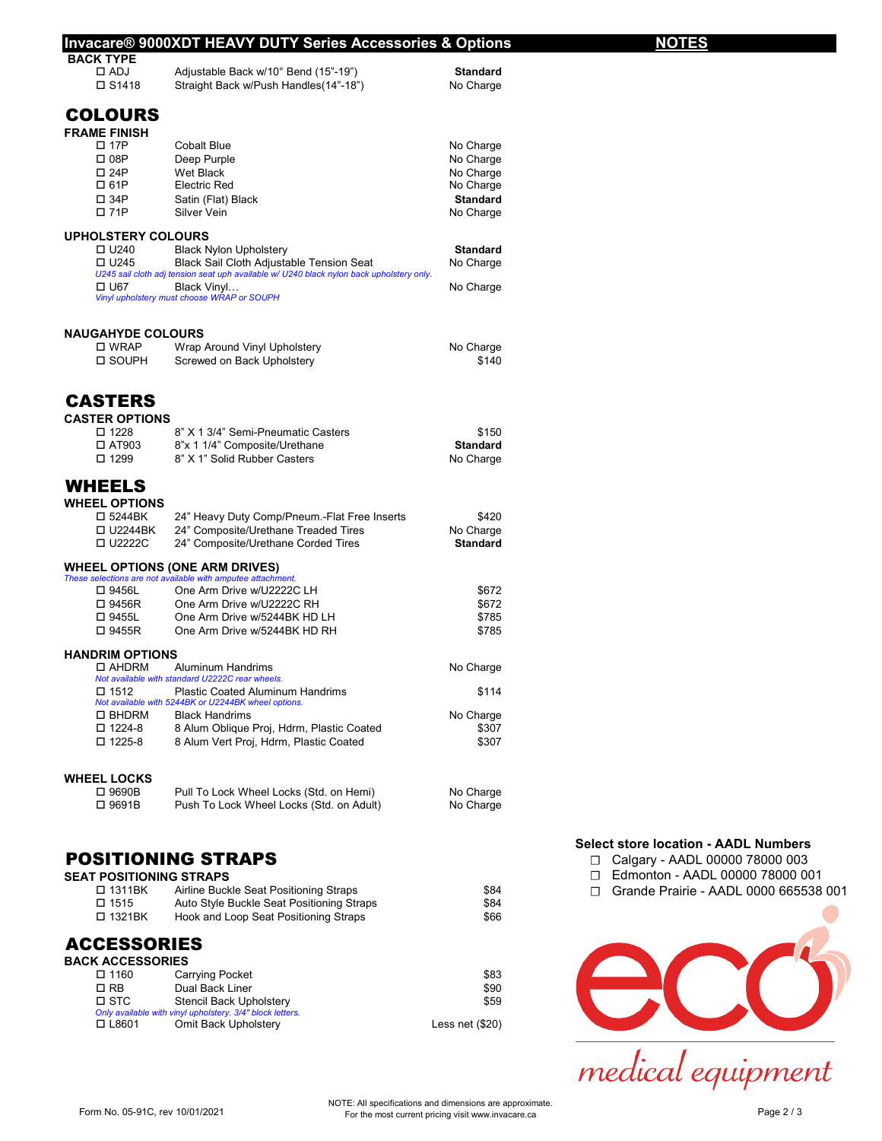|                                         | <b>Invacare® 9000XDT HEAVY DUTY Series Accessories &amp; Options</b>                                                                 |                              | NOTES                        |
|-----------------------------------------|--------------------------------------------------------------------------------------------------------------------------------------|------------------------------|------------------------------|
| <b>BACK TYPE</b>                        |                                                                                                                                      |                              |                              |
| $\Box$ ADJ<br>$\square$ S1418           | Adjustable Back w/10° Bend (15"-19")<br>Straight Back w/Push Handles(14"-18")                                                        | <b>Standard</b><br>No Charge |                              |
| <b>COLOURS</b>                          |                                                                                                                                      |                              |                              |
| <b>FRAME FINISH</b>                     |                                                                                                                                      |                              |                              |
| $\square$ 17 $\square$                  | <b>Cobalt Blue</b>                                                                                                                   | No Charge                    |                              |
| □ 08P                                   | Deep Purple                                                                                                                          | No Charge                    |                              |
| $\square$ 24P                           | Wet Black                                                                                                                            | No Charge                    |                              |
| □ 61P                                   | <b>Electric Red</b>                                                                                                                  | No Charge                    |                              |
| □ 34P                                   | Satin (Flat) Black                                                                                                                   | <b>Standard</b>              |                              |
| □ 71P                                   | Silver Vein                                                                                                                          | No Charge                    |                              |
| <b>UPHOLSTERY COLOURS</b>               |                                                                                                                                      |                              |                              |
| $\Box$ U240                             | <b>Black Nylon Upholstery</b>                                                                                                        | <b>Standard</b>              |                              |
| $\Box$ U245                             | Black Sail Cloth Adjustable Tension Seat<br>U245 sail cloth adj tension seat uph available w/ U240 black nylon back upholstery only. | No Charge                    |                              |
| □ U67                                   | Black Vinyl                                                                                                                          | No Charge                    |                              |
|                                         | Vinyl upholstery must choose WRAP or SOUPH                                                                                           |                              |                              |
| <b>NAUGAHYDE COLOURS</b>                |                                                                                                                                      |                              |                              |
| □ WRAP                                  | Wrap Around Vinyl Upholstery                                                                                                         | No Charge                    |                              |
| □ SOUPH                                 | Screwed on Back Upholstery                                                                                                           | \$140                        |                              |
|                                         |                                                                                                                                      |                              |                              |
| <b>CASTERS</b><br><b>CASTER OPTIONS</b> |                                                                                                                                      |                              |                              |
| $\square$ 1228                          | 8" X 1 3/4" Semi-Pneumatic Casters                                                                                                   | \$150                        |                              |
| $\Box$ AT903                            | 8"x 1 1/4" Composite/Urethane                                                                                                        | <b>Standard</b>              |                              |
| □ 1299                                  | 8" X 1" Solid Rubber Casters                                                                                                         | No Charge                    |                              |
| <b>WHEELS</b>                           |                                                                                                                                      |                              |                              |
| <b>WHEEL OPTIONS</b>                    |                                                                                                                                      |                              |                              |
| □ 5244BK                                | 24" Heavy Duty Comp/Pneum.-Flat Free Inserts                                                                                         | \$420                        |                              |
| □ U2244BK                               | 24" Composite/Urethane Treaded Tires                                                                                                 | No Charge                    |                              |
| □ U2222C                                | 24" Composite/Urethane Corded Tires                                                                                                  | <b>Standard</b>              |                              |
|                                         | <b>WHEEL OPTIONS (ONE ARM DRIVES)</b>                                                                                                |                              |                              |
|                                         | These selections are not available with amputee attachment.                                                                          |                              |                              |
| □ 9456L                                 | One Arm Drive w/U2222C LH                                                                                                            | \$672                        |                              |
| □ 9456R                                 | One Arm Drive w/U2222C RH                                                                                                            | \$672                        |                              |
| □ 9455L<br>□ 9455R                      | One Arm Drive w/5244BK HD LH<br>One Arm Drive w/5244BK HD RH                                                                         | \$785<br>\$785               |                              |
|                                         |                                                                                                                                      |                              |                              |
| <b>HANDRIM OPTIONS</b><br>□ AHDRM       | Aluminum Handrims                                                                                                                    | No Charge                    |                              |
|                                         | Not available with standard U2222C rear wheels.                                                                                      |                              |                              |
| $\Box$ 1512                             | <b>Plastic Coated Aluminum Handrims</b>                                                                                              | \$114                        |                              |
| $\square$ BHDRM                         | Not available with 5244BK or U2244BK wheel options.<br><b>Black Handrims</b>                                                         | No Charge                    |                              |
| $\square$ 1224-8                        | 8 Alum Oblique Proj, Hdrm, Plastic Coated                                                                                            | \$307                        |                              |
| $\square$ 1225-8                        | 8 Alum Vert Proj, Hdrm, Plastic Coated                                                                                               | \$307                        |                              |
|                                         |                                                                                                                                      |                              |                              |
| <b>WHEEL LOCKS</b><br>□ 9690B           |                                                                                                                                      |                              |                              |
| □ 9691B                                 | Pull To Lock Wheel Locks (Std. on Hemi)<br>Push To Lock Wheel Locks (Std. on Adult)                                                  | No Charge<br>No Charge       |                              |
|                                         |                                                                                                                                      |                              |                              |
|                                         |                                                                                                                                      |                              | <b>Select store location</b> |
|                                         | <b>POSITIONING STRAPS</b>                                                                                                            |                              | Calgary - AADL<br>0          |
| <b>SEAT POSITIONING STRAPS</b>          |                                                                                                                                      |                              | Edmonton - AAD<br>П          |
| □ 1311BK                                | Airline Buckle Seat Positioning Straps                                                                                               | \$84                         | Grande Prairie -<br>П        |
| □ 1515                                  | Auto Style Buckle Seat Positioning Straps                                                                                            | \$84                         |                              |
| □ 1321BK                                | Hook and Loop Seat Positioning Straps                                                                                                | \$66                         |                              |
| <b>ACCESSORIES</b>                      |                                                                                                                                      |                              |                              |
| <b>BACK ACCESSORIES</b>                 |                                                                                                                                      |                              |                              |
| □ 1160                                  | Carrying Pocket                                                                                                                      | \$83                         |                              |
| $\square$ RB<br>$\square$ STC           | Dual Back Liner                                                                                                                      | \$90<br>\$59                 | $\overline{\phantom{a}}$     |
|                                         | Stencil Back Upholstery<br>Only available with vinyl upholstery. 3/4" block letters.                                                 |                              |                              |
| □ L8601                                 | Omit Back Upholstery                                                                                                                 | Less net $(\$20)$            |                              |
|                                         |                                                                                                                                      |                              |                              |

- **AADL Numbers** 

00000 78000 003

DL 00000 78000 001

AADL 0000 665538 001